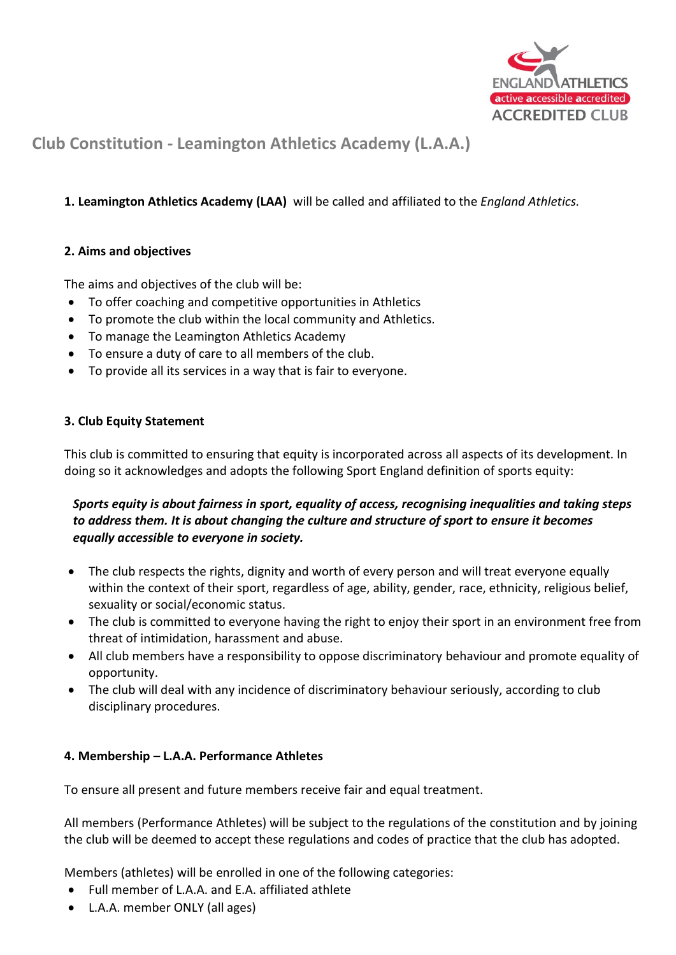

# **Club Constitution - Leamington Athletics Academy (L.A.A.)**

# **1. Leamington Athletics Academy (LAA)** will be called and affiliated to the *England Athletics.*

## **2. Aims and objectives**

The aims and objectives of the club will be:

- To offer coaching and competitive opportunities in Athletics
- To promote the club within the local community and Athletics.
- To manage the Leamington Athletics Academy
- To ensure a duty of care to all members of the club.
- To provide all its services in a way that is fair to everyone.

## **3. Club Equity Statement**

This club is committed to ensuring that equity is incorporated across all aspects of its development. In doing so it acknowledges and adopts the following Sport England definition of sports equity:

# *Sports equity is about fairness in sport, equality of access, recognising inequalities and taking steps to address them. It is about changing the culture and structure of sport to ensure it becomes equally accessible to everyone in society.*

- The club respects the rights, dignity and worth of every person and will treat everyone equally within the context of their sport, regardless of age, ability, gender, race, ethnicity, religious belief, sexuality or social/economic status.
- The club is committed to everyone having the right to enjoy their sport in an environment free from threat of intimidation, harassment and abuse.
- All club members have a responsibility to oppose discriminatory behaviour and promote equality of opportunity.
- The club will deal with any incidence of discriminatory behaviour seriously, according to club disciplinary procedures.

## **4. Membership – L.A.A. Performance Athletes**

To ensure all present and future members receive fair and equal treatment.

All members (Performance Athletes) will be subject to the regulations of the constitution and by joining the club will be deemed to accept these regulations and codes of practice that the club has adopted.

Members (athletes) will be enrolled in one of the following categories:

- Full member of L.A.A. and E.A. affiliated athlete
- L.A.A. member ONLY (all ages)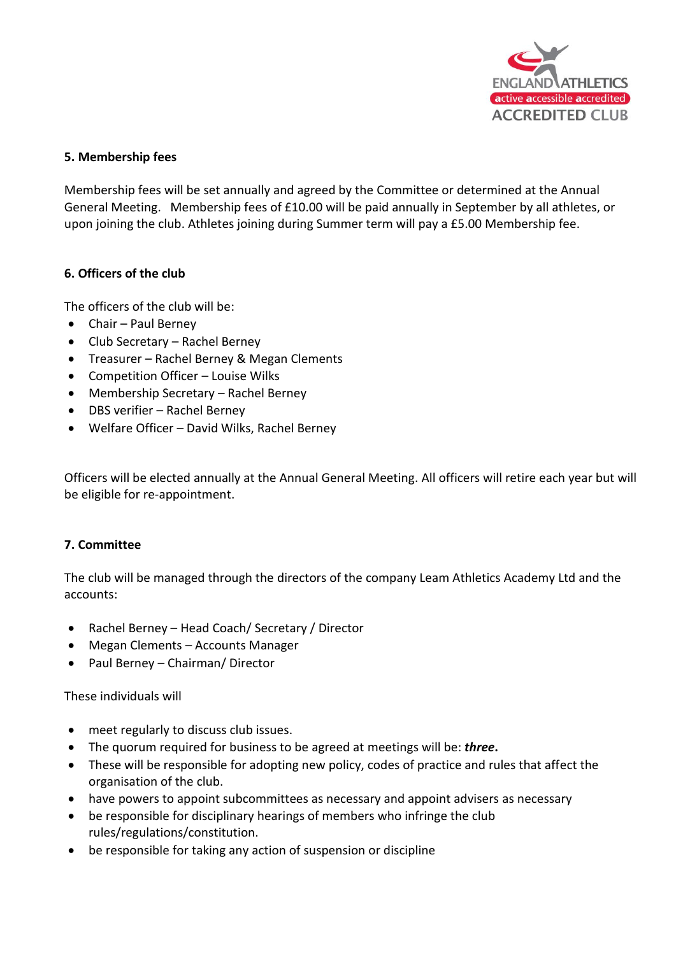

#### **5. Membership fees**

Membership fees will be set annually and agreed by the Committee or determined at the Annual General Meeting. Membership fees of £10.00 will be paid annually in September by all athletes, or upon joining the club. Athletes joining during Summer term will pay a £5.00 Membership fee.

#### **6. Officers of the club**

The officers of the club will be:

- Chair Paul Berney
- Club Secretary Rachel Berney
- Treasurer Rachel Berney & Megan Clements
- Competition Officer Louise Wilks
- Membership Secretary Rachel Berney
- DBS verifier Rachel Berney
- Welfare Officer David Wilks, Rachel Berney

Officers will be elected annually at the Annual General Meeting. All officers will retire each year but will be eligible for re-appointment.

#### **7. Committee**

The club will be managed through the directors of the company Leam Athletics Academy Ltd and the accounts:

- Rachel Berney Head Coach/ Secretary / Director
- Megan Clements Accounts Manager
- Paul Berney Chairman/ Director

These individuals will

- meet regularly to discuss club issues.
- The quorum required for business to be agreed at meetings will be: *three***.**
- These will be responsible for adopting new policy, codes of practice and rules that affect the organisation of the club.
- have powers to appoint subcommittees as necessary and appoint advisers as necessary
- be responsible for disciplinary hearings of members who infringe the club rules/regulations/constitution.
- be responsible for taking any action of suspension or discipline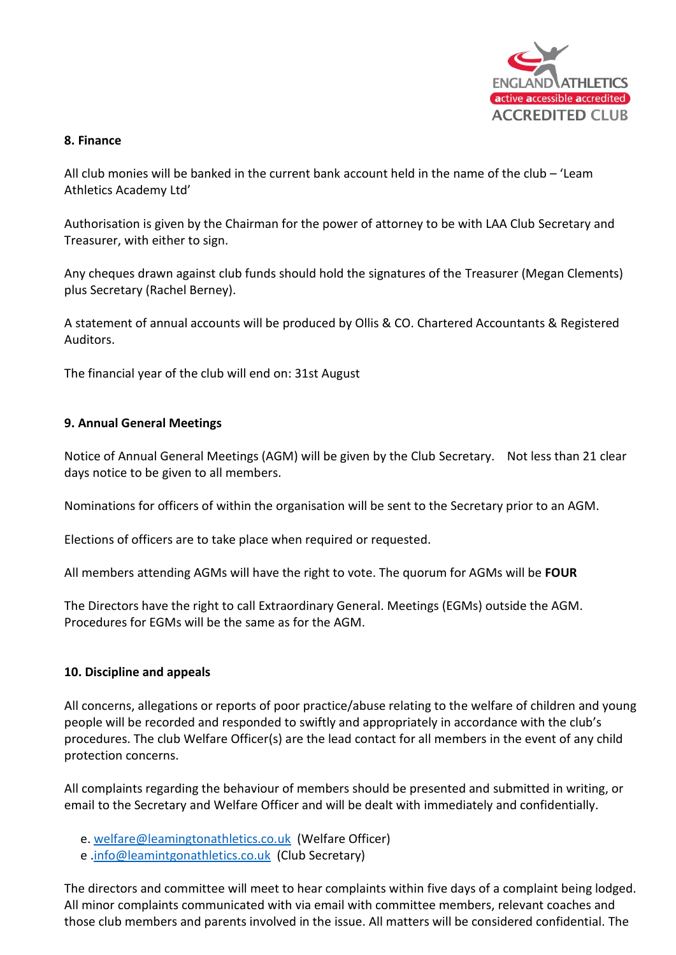

#### **8. Finance**

All club monies will be banked in the current bank account held in the name of the club – 'Leam Athletics Academy Ltd'

Authorisation is given by the Chairman for the power of attorney to be with LAA Club Secretary and Treasurer, with either to sign.

Any cheques drawn against club funds should hold the signatures of the Treasurer (Megan Clements) plus Secretary (Rachel Berney).

A statement of annual accounts will be produced by Ollis & CO. Chartered Accountants & Registered Auditors.

The financial year of the club will end on: 31st August

#### **9. Annual General Meetings**

Notice of Annual General Meetings (AGM) will be given by the Club Secretary. Not less than 21 clear days notice to be given to all members.

Nominations for officers of within the organisation will be sent to the Secretary prior to an AGM.

Elections of officers are to take place when required or requested.

All members attending AGMs will have the right to vote. The quorum for AGMs will be **FOUR**

The Directors have the right to call Extraordinary General. Meetings (EGMs) outside the AGM. Procedures for EGMs will be the same as for the AGM.

#### **10. Discipline and appeals**

All concerns, allegations or reports of poor practice/abuse relating to the welfare of children and young people will be recorded and responded to swiftly and appropriately in accordance with the club's procedures. The club Welfare Officer(s) are the lead contact for all members in the event of any child protection concerns.

All complaints regarding the behaviour of members should be presented and submitted in writing, or email to the Secretary and Welfare Officer and will be dealt with immediately and confidentially.

- e. [welfare@leamingtonathletics.co.uk](mailto:welfare@leamingtonathletics.co.uk) (Welfare Officer)
- e [.info@leamintgonathletics.co.uk](mailto:info@leamintgonathletics.co.uk) (Club Secretary)

The directors and committee will meet to hear complaints within five days of a complaint being lodged. All minor complaints communicated with via email with committee members, relevant coaches and those club members and parents involved in the issue. All matters will be considered confidential. The